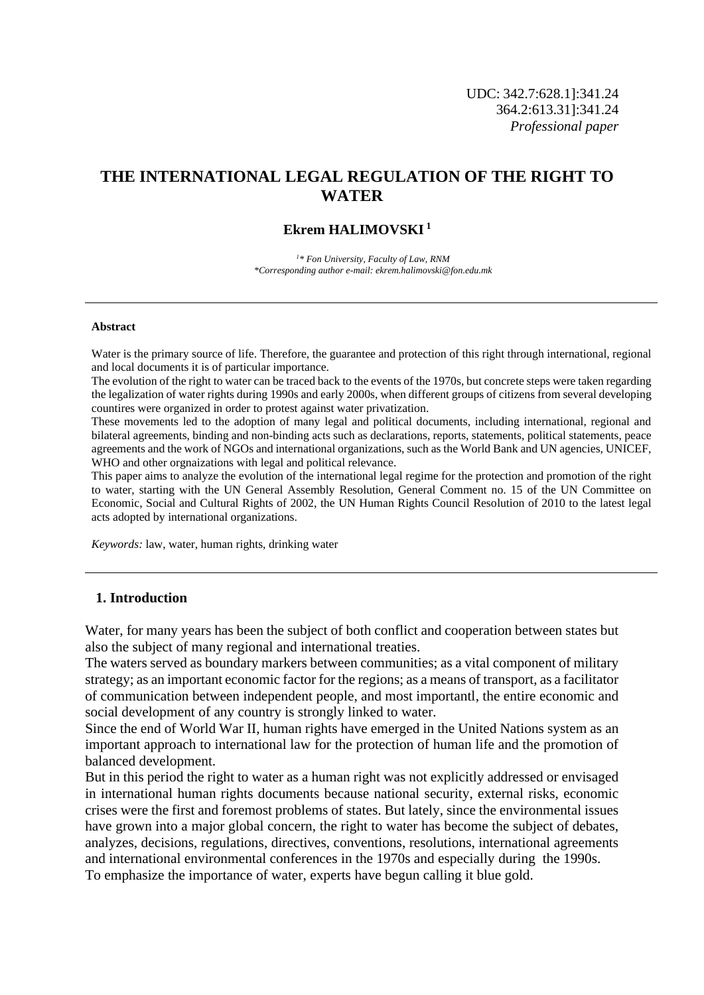UDC: 342.7:628.1]:341.24 364.2:613.31]:341.24 *Professional paper*

# **THE INTERNATIONAL LEGAL REGULATION OF THE RIGHT TO WATER**

### **Ekrem HALIMOVSKI <sup>1</sup>**

*1 \* Fon University, Faculty of Law, RNM \*Corresponding author e-mail: ekrem.halimovski@fon.edu.mk*

#### **Abstract**

Water is the primary source of life. Therefore, the guarantee and protection of this right through international, regional and local documents it is of particular importance.

The evolution of the right to water can be traced back to the events of the 1970s, but concrete steps were taken regarding the legalization of water rights during 1990s and early 2000s, when different groups of citizens from several developing countires were organized in order to protest against water privatization.

These movements led to the adoption of many legal and political documents, including international, regional and bilateral agreements, binding and non-binding acts such as declarations, reports, statements, political statements, peace agreements and the work of NGOs and international organizations, such as the World Bank and UN agencies, UNICEF, WHO and other orgnaizations with legal and political relevance.

This paper aims to analyze the evolution of the international legal regime for the protection and promotion of the right to water, starting with the UN General Assembly Resolution, General Comment no. 15 of the UN Committee on Economic, Social and Cultural Rights of 2002, the UN Human Rights Council Resolution of 2010 to the latest legal acts adopted by international organizations.

*Keywords:* law, water, human rights, drinking water

#### **1. Introduction**

Water, for many years has been the subject of both conflict and cooperation between states but also the subject of many regional and international treaties.

The waters served as boundary markers between communities; as a vital component of military strategy; as an important economic factor for the regions; as a means of transport, as a facilitator of communication between independent people, and most importantl, the entire economic and social development of any country is strongly linked to water.

Since the end of World War II, human rights have emerged in the United Nations system as an important approach to international law for the protection of human life and the promotion of balanced development.

But in this period the right to water as a human right was not explicitly addressed or envisaged in international human rights documents because national security, external risks, economic crises were the first and foremost problems of states. But lately, since the environmental issues have grown into a major global concern, the right to water has become the subject of debates, analyzes, decisions, regulations, directives, conventions, resolutions, international agreements and international environmental conferences in the 1970s and especially during the 1990s. To emphasize the importance of water, experts have begun calling it blue gold.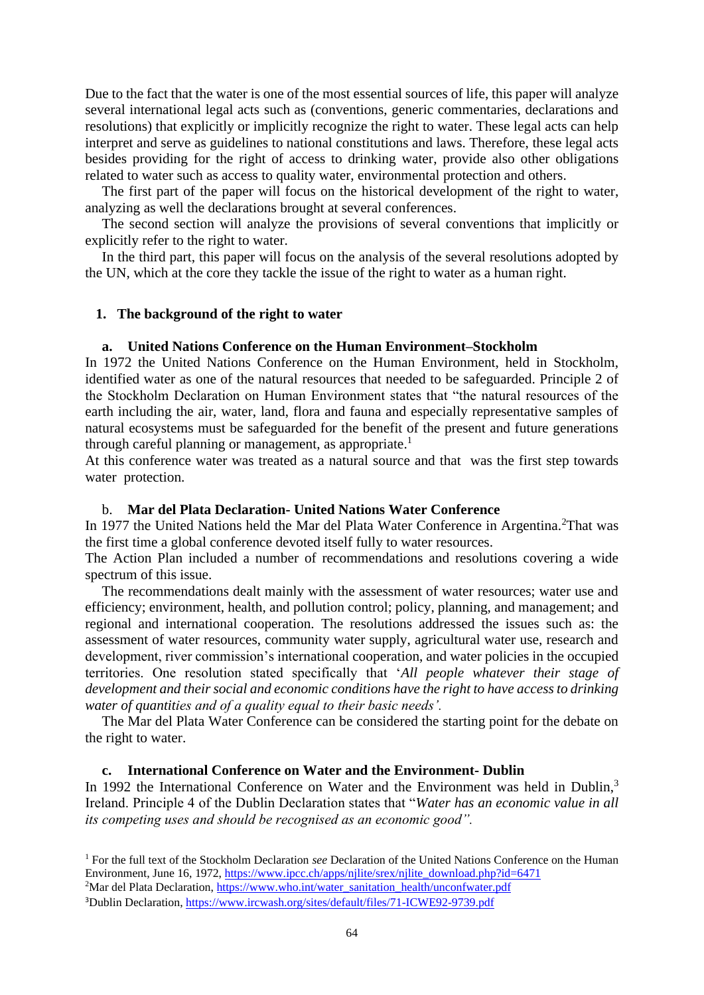Due to the fact that the water is one of the most essential sources of life, this paper will analyze several international legal acts such as (conventions, generic commentaries, declarations and resolutions) that explicitly or implicitly recognize the right to water. These legal acts can help interpret and serve as guidelines to national constitutions and laws. Therefore, these legal acts besides providing for the right of access to drinking water, provide also other obligations related to water such as access to quality water, environmental protection and others.

The first part of the paper will focus on the historical development of the right to water, analyzing as well the declarations brought at several conferences.

The second section will analyze the provisions of several conventions that implicitly or explicitly refer to the right to water.

In the third part, this paper will focus on the analysis of the several resolutions adopted by the UN, which at the core they tackle the issue of the right to water as a human right.

#### **1. The background of the right to water**

### **a. United Nations Conference on the Human Environment–Stockholm**

In 1972 the United Nations Conference on the Human Environment, held in Stockholm, identified water as one of the natural resources that needed to be safeguarded. Principle 2 of the Stockholm Declaration on Human Environment states that "the natural resources of the earth including the air, water, land, flora and fauna and especially representative samples of natural ecosystems must be safeguarded for the benefit of the present and future generations through careful planning or management, as appropriate.<sup>1</sup>

At this conference water was treated as a natural source and that was the first step towards water protection.

#### b. **Mar del Plata Declaration- United Nations Water Conference**

In 1977 the United Nations held the Mar del Plata Water Conference in Argentina.<sup>2</sup>That was the first time a global conference devoted itself fully to water resources.

The Action Plan included a number of recommendations and resolutions covering a wide spectrum of this issue.

The recommendations dealt mainly with the assessment of water resources; water use and efficiency; environment, health, and pollution control; policy, planning, and management; and regional and international cooperation. The resolutions addressed the issues such as: the assessment of water resources, community water supply, agricultural water use, research and development, river commission's international cooperation, and water policies in the occupied territories. One resolution stated specifically that '*All people whatever their stage of development and their social and economic conditions have the right to have access to drinking water of quantities and of a quality equal to their basic needs'.*

The Mar del Plata Water Conference can be considered the starting point for the debate on the right to water.

### **c. International Conference on Water and the Environment- Dublin**

In 1992 the International Conference on Water and the Environment was held in Dublin.<sup>3</sup> Ireland. Principle 4 of the Dublin Declaration states that "*Water has an economic value in all its competing uses and should be recognised as an economic good".*

<sup>1</sup> For the full text of the Stockholm Declaration *see* Declaration of the United Nations Conference on the Human Environment, June 16, 1972, [https://www.ipcc.ch/apps/njlite/srex/njlite\\_download.php?id=6471](https://www.ipcc.ch/apps/njlite/srex/njlite_download.php?id=6471) <sup>2</sup>Mar del Plata Declaration, [https://www.who.int/water\\_sanitation\\_health/unconfwater.pdf](https://www.who.int/water_sanitation_health/unconfwater.pdf) 3Dublin Declaration,<https://www.ircwash.org/sites/default/files/71-ICWE92-9739.pdf>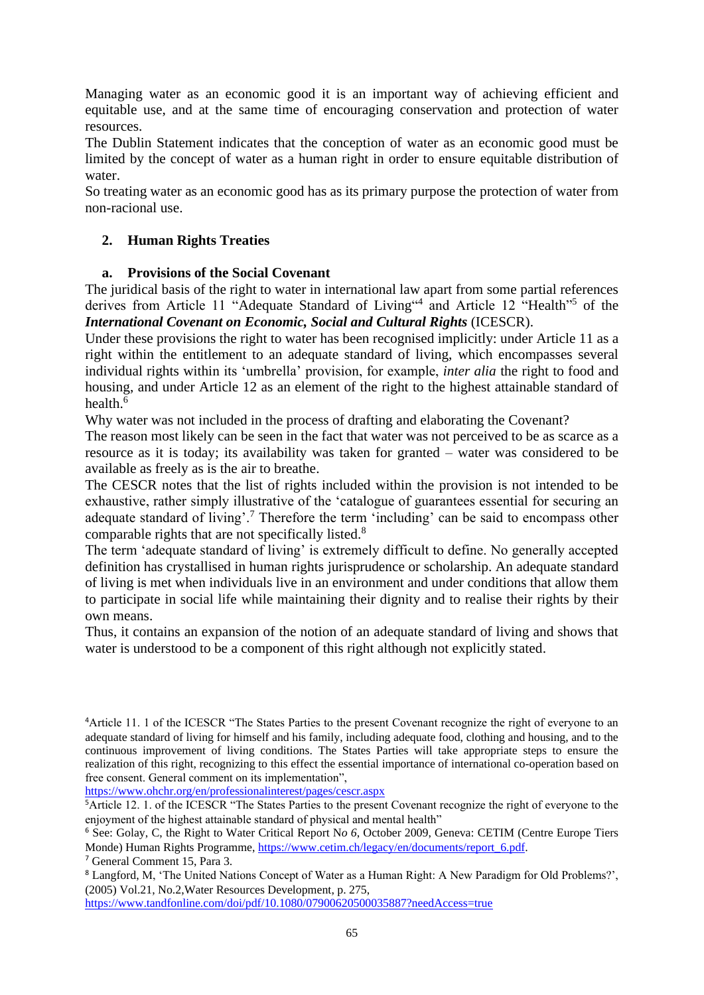Managing water as an economic good it is an important way of achieving efficient and equitable use, and at the same time of encouraging conservation and protection of water resources.

The Dublin Statement indicates that the conception of water as an economic good must be limited by the concept of water as a human right in order to ensure equitable distribution of water.

So treating water as an economic good has as its primary purpose the protection of water from non-racional use.

## **2. Human Rights Treaties**

## **a. Provisions of the Social Covenant**

The juridical basis of the right to water in international law apart from some partial references derives from Article 11 "Adequate Standard of Living"<sup>4</sup> and Article 12 "Health"<sup>5</sup> of the *International Covenant on Economic, Social and Cultural Rights* (ICESCR).

Under these provisions the right to water has been recognised implicitly: under Article 11 as a right within the entitlement to an adequate standard of living, which encompasses several individual rights within its 'umbrella' provision, for example, *inter alia* the right to food and housing, and under Article 12 as an element of the right to the highest attainable standard of health.<sup>6</sup>

Why water was not included in the process of drafting and elaborating the Covenant?

The reason most likely can be seen in the fact that water was not perceived to be as scarce as a resource as it is today; its availability was taken for granted – water was considered to be available as freely as is the air to breathe.

The CESCR notes that the list of rights included within the provision is not intended to be exhaustive, rather simply illustrative of the 'catalogue of guarantees essential for securing an adequate standard of living'.<sup>7</sup> Therefore the term 'including' can be said to encompass other comparable rights that are not specifically listed.<sup>8</sup>

The term 'adequate standard of living' is extremely difficult to define. No generally accepted definition has crystallised in human rights jurisprudence or scholarship. An adequate standard of living is met when individuals live in an environment and under conditions that allow them to participate in social life while maintaining their dignity and to realise their rights by their own means.

Thus, it contains an expansion of the notion of an adequate standard of living and shows that water is understood to be a component of this right although not explicitly stated.

<https://www.ohchr.org/en/professionalinterest/pages/cescr.aspx>

<sup>7</sup> General Comment 15, Para 3.

<sup>8</sup> Langford, M, 'The United Nations Concept of Water as a Human Right: A New Paradigm for Old Problems?', (2005) Vol.21, No.2,Water Resources Development, p. 275,

<https://www.tandfonline.com/doi/pdf/10.1080/07900620500035887?needAccess=true>

<sup>4</sup>Article 11. 1 of the ICESCR "The States Parties to the present Covenant recognize the right of everyone to an adequate standard of living for himself and his family, including adequate food, clothing and housing, and to the continuous improvement of living conditions. The States Parties will take appropriate steps to ensure the realization of this right, recognizing to this effect the essential importance of international co-operation based on free consent. General comment on its implementation",

<sup>5</sup>Article 12. 1. of the ICESCR "The States Parties to the present Covenant recognize the right of everyone to the enjoyment of the highest attainable standard of physical and mental health"

<sup>&</sup>lt;sup>6</sup> See: Golay, C, the Right to Water Critical Report No 6, October 2009, Geneva: CETIM (Centre Europe Tiers Monde) Human Rights Programme, [https://www.cetim.ch/legacy/en/documents/report\\_6.pdf.](https://www.cetim.ch/legacy/en/documents/report_6.pdf)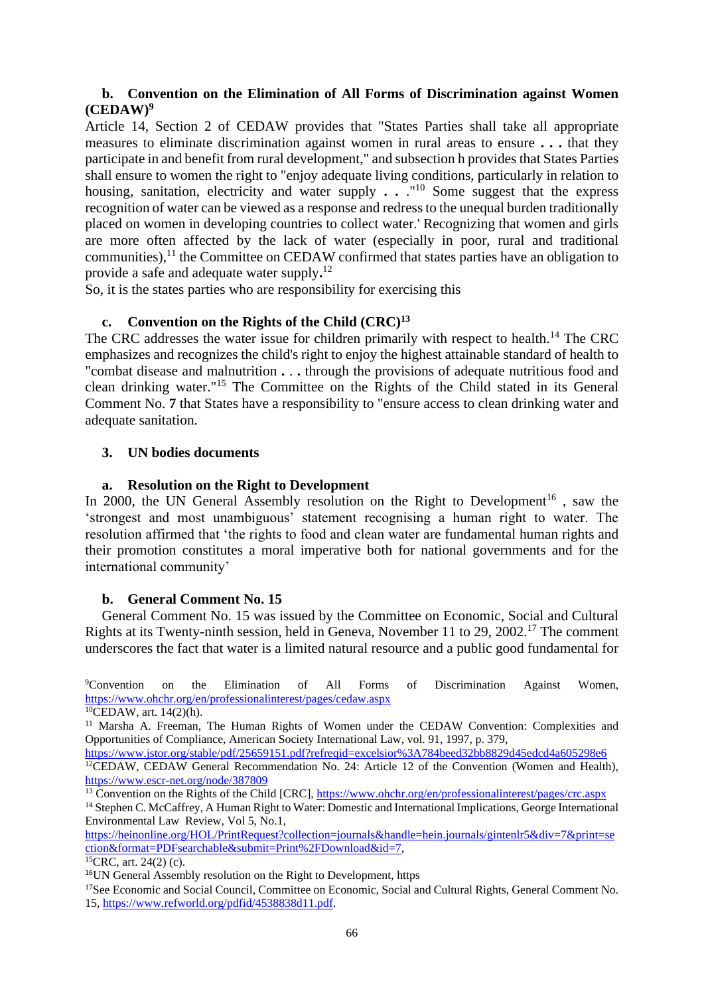### **b. Convention on the Elimination of All Forms of Discrimination against Women**   $(CEDAW)^9$

Article 14, Section 2 of CEDAW provides that "States Parties shall take all appropriate measures to eliminate discrimination against women in rural areas to ensure **. . .** that they participate in and benefit from rural development," and subsection h provides that States Parties shall ensure to women the right to "enjoy adequate living conditions, particularly in relation to housing, sanitation, electricity and water supply  $\cdot \cdot \cdot$ <sup>10</sup> Some suggest that the express recognition of water can be viewed as a response and redress to the unequal burden traditionally placed on women in developing countries to collect water.' Recognizing that women and girls are more often affected by the lack of water (especially in poor, rural and traditional communities), $<sup>11</sup>$  the Committee on CEDAW confirmed that states parties have an obligation to</sup> provide a safe and adequate water supply**.** 12

So, it is the states parties who аre responsibility for exercising this

## **c. Convention on the Rights of the Child (CRC)<sup>13</sup>**

The CRC addresses the water issue for children primarily with respect to health.<sup>14</sup> The CRC emphasizes and recognizes the child's right to enjoy the highest attainable standard of health to "combat disease and malnutrition **.** . **.** through the provisions of adequate nutritious food and clean drinking water."<sup>15</sup> The Committee on the Rights of the Child stated in its General Comment No. **7** that States have a responsibility to "ensure access to clean drinking water and adequate sanitation.

### **3. UN bodies documents**

### **a. Resolution on the Right to Development**

In 2000, the UN General Assembly resolution on the Right to Development<sup>16</sup>, saw the 'strongest and most unambiguous' statement recognising a human right to water. The resolution affirmed that 'the rights to food and clean water are fundamental human rights and their promotion constitutes a moral imperative both for national governments and for the international community'

### **b. General Comment No. 15**

General Comment No. 15 was issued by the Committee on Economic, Social and Cultural Rights at its Twenty-ninth session, held in Geneva, November 11 to 29, 2002.<sup>17</sup> The comment underscores the fact that water is a limited natural resource and a public good fundamental for

[https://heinonline.org/HOL/PrintRequest?collection=journals&handle=hein.journals/gintenlr5&div=7&print=se](https://heinonline.org/HOL/PrintRequest?collection=journals&handle=hein.journals/gintenlr5&div=7&print=section&format=PDFsearchable&submit=Print%2FDownload&id=7) [ction&format=PDFsearchable&submit=Print%2FDownload&id=7,](https://heinonline.org/HOL/PrintRequest?collection=journals&handle=hein.journals/gintenlr5&div=7&print=section&format=PDFsearchable&submit=Print%2FDownload&id=7)

<sup>9</sup>Convention on the Elimination of All Forms of Discrimination Against Women, <https://www.ohchr.org/en/professionalinterest/pages/cedaw.aspx>  ${}^{10}$ CEDAW, art. 14(2)(h).

<sup>&</sup>lt;sup>11</sup> Marsha A. Freeman, The Human Rights of Women under the CEDAW Convention: Complexities and Opportunities of Compliance, American Society International Law, vol. 91, 1997, p. 379,

<https://www.jstor.org/stable/pdf/25659151.pdf?refreqid=excelsior%3A784beed32bb8829d45edcd4a605298e6>

<sup>&</sup>lt;sup>12</sup>CEDAW, CEDAW General Recommendation No. 24: Article 12 of the Convention (Women and Health), <https://www.escr-net.org/node/387809>

<sup>&</sup>lt;sup>13</sup> Convention on the Rights of the Child [CRC],<https://www.ohchr.org/en/professionalinterest/pages/crc.aspx>

<sup>&</sup>lt;sup>14</sup> Stephen C. McCaffrey, A Human Right to Water: Domestic and International Implications, George International Environmental Law Review, Vol 5, No.1,

 ${}^{15}CRC$ , art. 24(2) (c).

<sup>16</sup>UN General Assembly resolution on the Right to Development, https

<sup>&</sup>lt;sup>17</sup>See Economic and Social Council, Committee on Economic, Social and Cultural Rights, General Comment No. 15, [https://www.refworld.org/pdfid/4538838d11.pdf.](https://www.refworld.org/pdfid/4538838d11.pdf)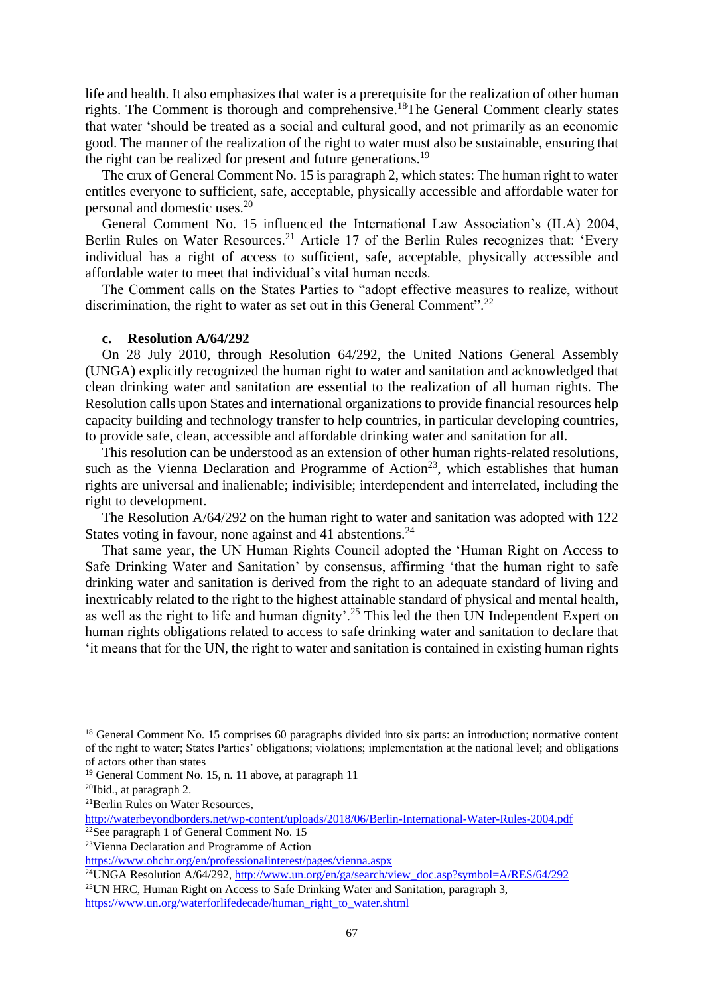life and health. It also emphasizes that water is a prerequisite for the realization of other human rights. The Comment is thorough and comprehensive.<sup>18</sup>The General Comment clearly states that water 'should be treated as a social and cultural good, and not primarily as an economic good. The manner of the realization of the right to water must also be sustainable, ensuring that the right can be realized for present and future generations.<sup>19</sup>

The crux of General Comment No. 15 is paragraph 2, which states: The human right to water entitles everyone to sufficient, safe, acceptable, physically accessible and affordable water for personal and domestic uses. 20

General Comment No. 15 influenced the International Law Association's (ILA) 2004, Berlin Rules on Water Resources.<sup>21</sup> Article 17 of the Berlin Rules recognizes that: 'Every individual has a right of access to sufficient, safe, acceptable, physically accessible and affordable water to meet that individual's vital human needs.

The Comment calls on the States Parties to "adopt effective measures to realize, without discrimination, the right to water as set out in this General Comment".<sup>22</sup>

#### **c. Resolution A/64/292**

On 28 July 2010, through Resolution 64/292, the United Nations General Assembly (UNGA) explicitly recognized the human right to water and sanitation and acknowledged that clean drinking water and sanitation are essential to the realization of all human rights. The Resolution calls upon States and international organizations to provide financial resources help capacity building and technology transfer to help countries, in particular developing countries, to provide safe, clean, accessible and affordable drinking water and sanitation for all.

This resolution can be understood as an extension of other human rights-related resolutions, such as the Vienna Declaration and Programme of Action<sup>23</sup>, which establishes that human rights are universal and inalienable; indivisible; interdependent and interrelated, including the right to development.

The Resolution A/64/292 on the human right to water and sanitation was adopted with 122 States voting in favour, none against and 41 abstentions.<sup>24</sup>

That same year, the UN Human Rights Council adopted the 'Human Right on Access to Safe Drinking Water and Sanitation' by consensus, affirming 'that the human right to safe drinking water and sanitation is derived from the right to an adequate standard of living and inextricably related to the right to the highest attainable standard of physical and mental health, as well as the right to life and human dignity'.<sup>25</sup> This led the then UN Independent Expert on human rights obligations related to access to safe drinking water and sanitation to declare that 'it means that for the UN, the right to water and sanitation is contained in existing human rights

<sup>&</sup>lt;sup>18</sup> General Comment No. 15 comprises 60 paragraphs divided into six parts: an introduction; normative content of the right to water; States Parties' obligations; violations; implementation at the national level; and obligations of actors other than states

<sup>19</sup> General Comment No. 15, n. 11 above, at paragraph 11

<sup>20</sup>Ibid., at paragraph 2.

<sup>21</sup>Berlin Rules on Water Resources,

<http://waterbeyondborders.net/wp-content/uploads/2018/06/Berlin-International-Water-Rules-2004.pdf>

<sup>22</sup>See paragraph 1 of General Comment No. 15

<sup>23</sup>Vienna Declaration and Programme of Action

<https://www.ohchr.org/en/professionalinterest/pages/vienna.aspx>

<sup>&</sup>lt;sup>24</sup>UNGA Resolution A/64/292[, http://www.un.org/en/ga/search/view\\_doc.asp?symbol=A/RES/64/292](http://www.un.org/en/ga/search/view_doc.asp?symbol=A/RES/64/292)

<sup>25</sup>UN HRC, Human Right on Access to Safe Drinking Water and Sanitation, paragraph 3,

[https://www.un.org/waterforlifedecade/human\\_right\\_to\\_water.shtml](https://www.un.org/waterforlifedecade/human_right_to_water.shtml)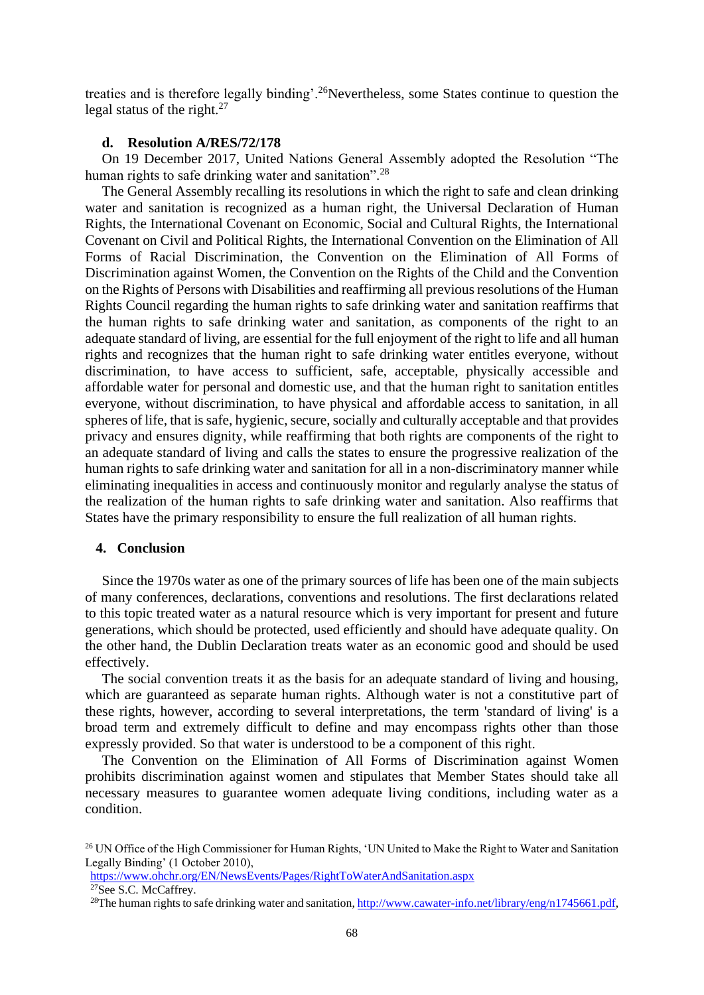treaties and is therefore legally binding'.<sup>26</sup>Nevertheless, some States continue to question the legal status of the right. $27$ 

### **d. Resolution A/RES/72/178**

On 19 December 2017, United Nations General Assembly adopted the Resolution "The human rights to safe drinking water and sanitation".<sup>28</sup>

The General Assembly recalling its resolutions in which the right to safe and clean drinking water and sanitation is recognized as a human right, the Universal Declaration of Human Rights, the International Covenant on Economic, Social and Cultural Rights, the International Covenant on Civil and Political Rights, the International Convention on the Elimination of All Forms of Racial Discrimination, the Convention on the Elimination of All Forms of Discrimination against Women, the Convention on the Rights of the Child and the Convention on the Rights of Persons with Disabilities and reaffirming all previous resolutions of the Human Rights Council regarding the human rights to safe drinking water and sanitation reaffirms that the human rights to safe drinking water and sanitation, as components of the right to an adequate standard of living, are essential for the full enjoyment of the right to life and all human rights and recognizes that the human right to safe drinking water entitles everyone, without discrimination, to have access to sufficient, safe, acceptable, physically accessible and affordable water for personal and domestic use, and that the human right to sanitation entitles everyone, without discrimination, to have physical and affordable access to sanitation, in all spheres of life, that is safe, hygienic, secure, socially and culturally acceptable and that provides privacy and ensures dignity, while reaffirming that both rights are components of the right to an adequate standard of living and calls the states to ensure the progressive realization of the human rights to safe drinking water and sanitation for all in a non-discriminatory manner while eliminating inequalities in access and continuously monitor and regularly analyse the status of the realization of the human rights to safe drinking water and sanitation. Also reaffirms that States have the primary responsibility to ensure the full realization of all human rights.

#### **4. Conclusion**

Since the 1970s water as one of the primary sources of life has been one of the main subjects of many conferences, declarations, conventions and resolutions. The first declarations related to this topic treated water as a natural resource which is very important for present and future generations, which should be protected, used efficiently and should have adequate quality. On the other hand, the Dublin Declaration treats water as an economic good and should be used effectively.

The social convention treats it as the basis for an adequate standard of living and housing, which are guaranteed as separate human rights. Although water is not a constitutive part of these rights, however, according to several interpretations, the term 'standard of living' is a broad term and extremely difficult to define and may encompass rights other than those expressly provided. So that water is understood to be a component of this right.

The Convention on the Elimination of All Forms of Discrimination against Women prohibits discrimination against women and stipulates that Member States should take all necessary measures to guarantee women adequate living conditions, including water as a condition.

<https://www.ohchr.org/EN/NewsEvents/Pages/RightToWaterAndSanitation.aspx> <sup>27</sup>See S.C. McCaffrey.

<sup>&</sup>lt;sup>26</sup> UN Office of the High Commissioner for Human Rights, 'UN United to Make the Right to Water and Sanitation Legally Binding' (1 October 2010),

<sup>&</sup>lt;sup>28</sup>The human rights to safe drinking water and sanitation[, http://www.cawater-info.net/library/eng/n1745661.pdf,](http://www.cawater-info.net/library/eng/n1745661.pdf)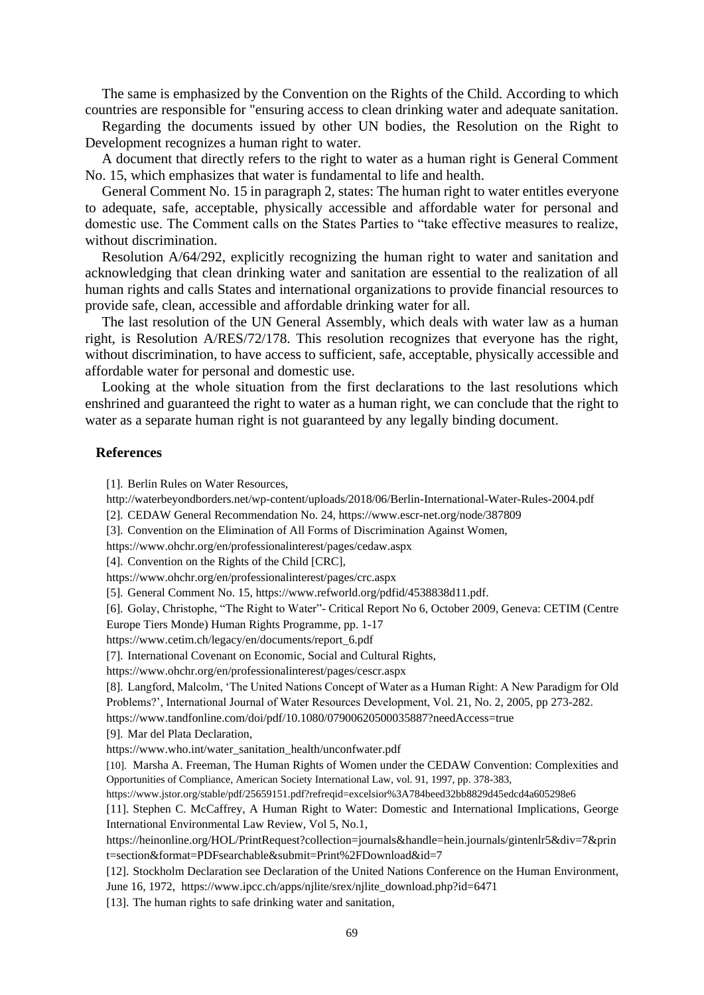The same is emphasized by the Convention on the Rights of the Child. According to which countries are responsible for "ensuring access to clean drinking water and adequate sanitation.

Regarding the documents issued by other UN bodies, the Resolution on the Right to Development recognizes a human right to water.

A document that directly refers to the right to water as a human right is General Comment No. 15, which emphasizes that water is fundamental to life and health.

General Comment No. 15 in paragraph 2, states: The human right to water entitles everyone to adequate, safe, acceptable, physically accessible and affordable water for personal and domestic use. The Comment calls on the States Parties to "take effective measures to realize, without discrimination.

Resolution A/64/292, explicitly recognizing the human right to water and sanitation and acknowledging that clean drinking water and sanitation are essential to the realization of all human rights and calls States and international organizations to provide financial resources to provide safe, clean, accessible and affordable drinking water for all.

The last resolution of the UN General Assembly, which deals with water law as a human right, is Resolution A/RES/72/178. This resolution recognizes that everyone has the right, without discrimination, to have access to sufficient, safe, acceptable, physically accessible and affordable water for personal and domestic use.

Looking at the whole situation from the first declarations to the last resolutions which enshrined and guaranteed the right to water as a human right, we can conclude that the right to water as a separate human right is not guaranteed by any legally binding document.

### **References**

[1]. Berlin Rules on Water Resources,

<http://waterbeyondborders.net/wp-content/uploads/2018/06/Berlin-International-Water-Rules-2004.pdf>

[2]. CEDAW General Recommendation No. 24[, https://www.escr-net.org/node/387809](https://www.escr-net.org/node/387809)

[3]. Convention on the Elimination of All Forms of Discrimination Against Women,

<https://www.ohchr.org/en/professionalinterest/pages/cedaw.aspx>

[4]. Convention on the Rights of the Child [CRC],

<https://www.ohchr.org/en/professionalinterest/pages/crc.aspx>

[5]. General Comment No. 15, [https://www.refworld.org/pdfid/4538838d11.pdf.](https://www.refworld.org/pdfid/4538838d11.pdf)

[6]. Golay, Christophe, "The Right to Water"- Critical Report No 6, October 2009, Geneva: CETIM (Centre Europe Tiers Monde) Human Rights Programme, pp. 1-17

[https://www.cetim.ch/legacy/en/documents/report\\_6.pdf](https://www.cetim.ch/legacy/en/documents/report_6.pdf)

[7]. International Covenant on Economic, Social and Cultural Rights,

<https://www.ohchr.org/en/professionalinterest/pages/cescr.aspx>

[8]. Langford, Malcolm, 'The United Nations Concept of Water as a Human Right: A New Paradigm for Old Problems?', International Journal of Water Resources Development, Vol. 21, No. 2, 2005, pp 273-282. <https://www.tandfonline.com/doi/pdf/10.1080/07900620500035887?needAccess=true>

[9]. Mar del Plata Declaration,

[https://www.who.int/water\\_sanitation\\_health/unconfwater.pdf](https://www.who.int/water_sanitation_health/unconfwater.pdf)

[10]. Marsha A. Freeman, The Human Rights of Women under the CEDAW Convention: Complexities and Opportunities of Compliance, American Society International Law, vol. 91, 1997, pp. 378-383,

<https://www.jstor.org/stable/pdf/25659151.pdf?refreqid=excelsior%3A784beed32bb8829d45edcd4a605298e6>

[11]. Stephen C. McCaffrey, A Human Right to Water: Domestic and International Implications, George International Environmental Law Review, Vol 5, No.1,

[https://heinonline.org/HOL/PrintRequest?collection=journals&handle=hein.journals/gintenlr5&div=7&prin](https://heinonline.org/HOL/PrintRequest?collection=journals&handle=hein.journals/gintenlr5&div=7&print=section&format=PDFsearchable&submit=Print%2FDownload&id=7) [t=section&format=PDFsearchable&submit=Print%2FDownload&id=7](https://heinonline.org/HOL/PrintRequest?collection=journals&handle=hein.journals/gintenlr5&div=7&print=section&format=PDFsearchable&submit=Print%2FDownload&id=7)

[12]. Stockholm Declaration see Declaration of the United Nations Conference on the Human Environment, June 16, 1972, [https://www.ipcc.ch/apps/njlite/srex/njlite\\_download.php?id=6471](https://www.ipcc.ch/apps/njlite/srex/njlite_download.php?id=6471)

[13]. The human rights to safe drinking water and sanitation,